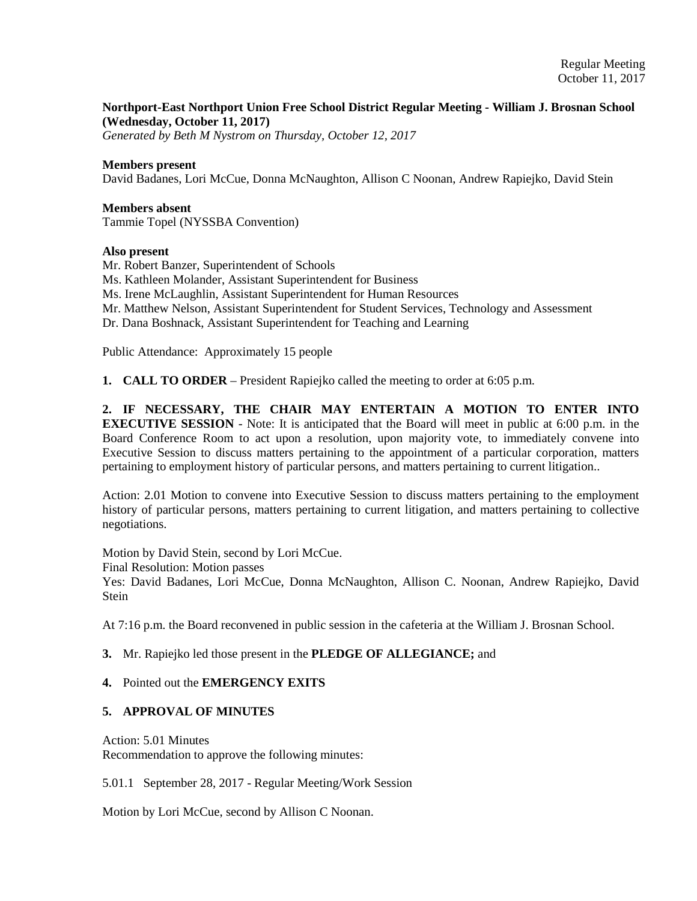# **Northport-East Northport Union Free School District Regular Meeting - William J. Brosnan School (Wednesday, October 11, 2017)**

*Generated by Beth M Nystrom on Thursday, October 12, 2017*

#### **Members present**

David Badanes, Lori McCue, Donna McNaughton, Allison C Noonan, Andrew Rapiejko, David Stein

## **Members absent**

Tammie Topel (NYSSBA Convention)

#### **Also present**

Mr. Robert Banzer, Superintendent of Schools Ms. Kathleen Molander, Assistant Superintendent for Business Ms. Irene McLaughlin, Assistant Superintendent for Human Resources Mr. Matthew Nelson, Assistant Superintendent for Student Services, Technology and Assessment Dr. Dana Boshnack, Assistant Superintendent for Teaching and Learning

Public Attendance: Approximately 15 people

**1. CALL TO ORDER** – President Rapiejko called the meeting to order at 6:05 p.m.

**2. IF NECESSARY, THE CHAIR MAY ENTERTAIN A MOTION TO ENTER INTO EXECUTIVE SESSION** - Note: It is anticipated that the Board will meet in public at 6:00 p.m. in the Board Conference Room to act upon a resolution, upon majority vote, to immediately convene into Executive Session to discuss matters pertaining to the appointment of a particular corporation, matters pertaining to employment history of particular persons, and matters pertaining to current litigation..

Action: 2.01 Motion to convene into Executive Session to discuss matters pertaining to the employment history of particular persons, matters pertaining to current litigation, and matters pertaining to collective negotiations.

Motion by David Stein, second by Lori McCue.

Final Resolution: Motion passes

Yes: David Badanes, Lori McCue, Donna McNaughton, Allison C. Noonan, Andrew Rapiejko, David Stein

At 7:16 p.m. the Board reconvened in public session in the cafeteria at the William J. Brosnan School.

**3.** Mr. Rapiejko led those present in the **PLEDGE OF ALLEGIANCE;** and

### **4.** Pointed out the **EMERGENCY EXITS**

#### **5. APPROVAL OF MINUTES**

Action: 5.01 Minutes

Recommendation to approve the following minutes:

5.01.1 September 28, 2017 - Regular Meeting/Work Session

Motion by Lori McCue, second by Allison C Noonan.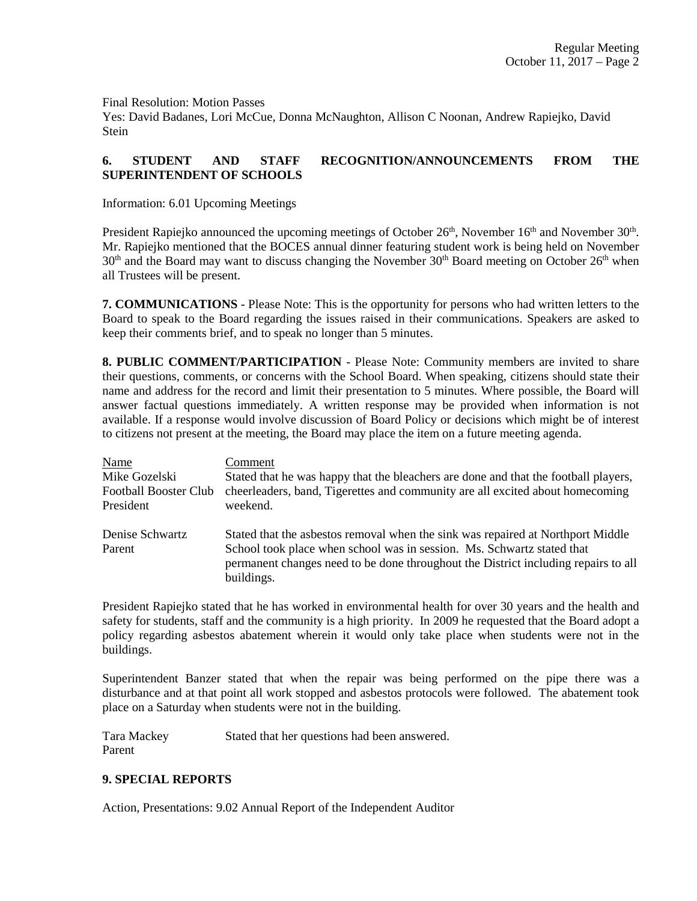Final Resolution: Motion Passes

Yes: David Badanes, Lori McCue, Donna McNaughton, Allison C Noonan, Andrew Rapiejko, David Stein

# **6. STUDENT AND STAFF RECOGNITION/ANNOUNCEMENTS FROM THE SUPERINTENDENT OF SCHOOLS**

Information: 6.01 Upcoming Meetings

President Rapiejko announced the upcoming meetings of October 26<sup>th</sup>, November 16<sup>th</sup> and November 30<sup>th</sup>. Mr. Rapiejko mentioned that the BOCES annual dinner featuring student work is being held on November 30<sup>th</sup> and the Board may want to discuss changing the November 30<sup>th</sup> Board meeting on October 26<sup>th</sup> when all Trustees will be present.

**7. COMMUNICATIONS** - Please Note: This is the opportunity for persons who had written letters to the Board to speak to the Board regarding the issues raised in their communications. Speakers are asked to keep their comments brief, and to speak no longer than 5 minutes.

**8. PUBLIC COMMENT/PARTICIPATION** - Please Note: Community members are invited to share their questions, comments, or concerns with the School Board. When speaking, citizens should state their name and address for the record and limit their presentation to 5 minutes. Where possible, the Board will answer factual questions immediately. A written response may be provided when information is not available. If a response would involve discussion of Board Policy or decisions which might be of interest to citizens not present at the meeting, the Board may place the item on a future meeting agenda.

| Name                         | Comment                                                                                          |
|------------------------------|--------------------------------------------------------------------------------------------------|
| Mike Gozelski                | Stated that he was happy that the bleachers are done and that the football players,              |
| <b>Football Booster Club</b> | cheerleaders, band, Tigerettes and community are all excited about homecoming                    |
| President                    | weekend.                                                                                         |
| Denise Schwartz              | Stated that the asbestos removal when the sink was repaired at Northport Middle                  |
| Parent                       | School took place when school was in session. Ms. Schwartz stated that                           |
|                              | permanent changes need to be done throughout the District including repairs to all<br>buildings. |

President Rapiejko stated that he has worked in environmental health for over 30 years and the health and safety for students, staff and the community is a high priority. In 2009 he requested that the Board adopt a policy regarding asbestos abatement wherein it would only take place when students were not in the buildings.

Superintendent Banzer stated that when the repair was being performed on the pipe there was a disturbance and at that point all work stopped and asbestos protocols were followed. The abatement took place on a Saturday when students were not in the building.

Tara Mackey Stated that her questions had been answered. Parent

# **9. SPECIAL REPORTS**

Action, Presentations: 9.02 Annual Report of the Independent Auditor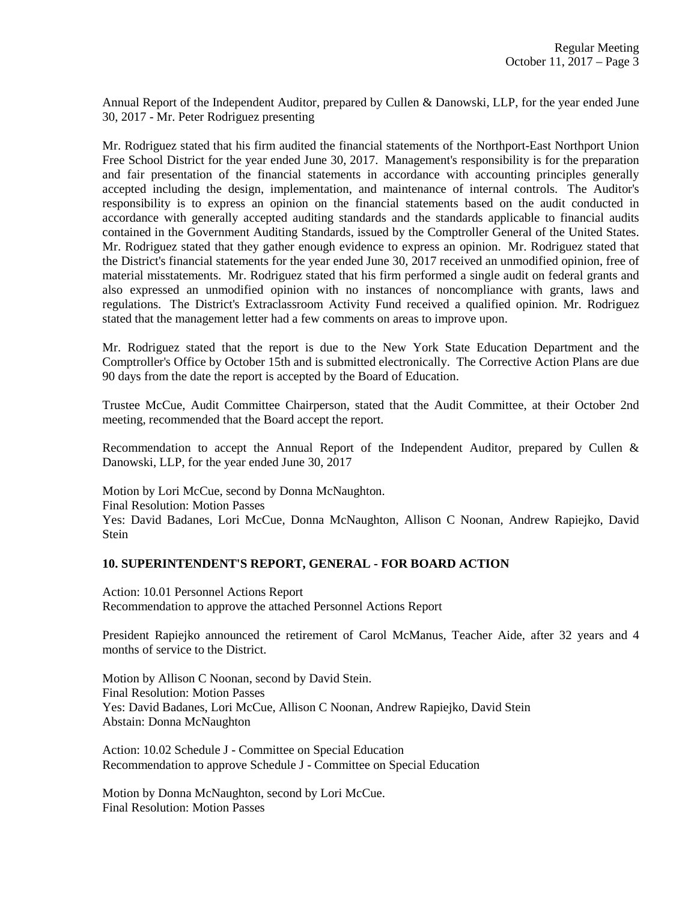Annual Report of the Independent Auditor, prepared by Cullen & Danowski, LLP, for the year ended June 30, 2017 - Mr. Peter Rodriguez presenting

Mr. Rodriguez stated that his firm audited the financial statements of the Northport-East Northport Union Free School District for the year ended June 30, 2017. Management's responsibility is for the preparation and fair presentation of the financial statements in accordance with accounting principles generally accepted including the design, implementation, and maintenance of internal controls. The Auditor's responsibility is to express an opinion on the financial statements based on the audit conducted in accordance with generally accepted auditing standards and the standards applicable to financial audits contained in the Government Auditing Standards, issued by the Comptroller General of the United States. Mr. Rodriguez stated that they gather enough evidence to express an opinion. Mr. Rodriguez stated that the District's financial statements for the year ended June 30, 2017 received an unmodified opinion, free of material misstatements. Mr. Rodriguez stated that his firm performed a single audit on federal grants and also expressed an unmodified opinion with no instances of noncompliance with grants, laws and regulations. The District's Extraclassroom Activity Fund received a qualified opinion. Mr. Rodriguez stated that the management letter had a few comments on areas to improve upon.

Mr. Rodriguez stated that the report is due to the New York State Education Department and the Comptroller's Office by October 15th and is submitted electronically. The Corrective Action Plans are due 90 days from the date the report is accepted by the Board of Education.

Trustee McCue, Audit Committee Chairperson, stated that the Audit Committee, at their October 2nd meeting, recommended that the Board accept the report.

Recommendation to accept the Annual Report of the Independent Auditor, prepared by Cullen & Danowski, LLP, for the year ended June 30, 2017

Motion by Lori McCue, second by Donna McNaughton. Final Resolution: Motion Passes Yes: David Badanes, Lori McCue, Donna McNaughton, Allison C Noonan, Andrew Rapiejko, David Stein

### **10. SUPERINTENDENT'S REPORT, GENERAL - FOR BOARD ACTION**

Action: 10.01 Personnel Actions Report Recommendation to approve the attached Personnel Actions Report

President Rapiejko announced the retirement of Carol McManus, Teacher Aide, after 32 years and 4 months of service to the District.

Motion by Allison C Noonan, second by David Stein. Final Resolution: Motion Passes Yes: David Badanes, Lori McCue, Allison C Noonan, Andrew Rapiejko, David Stein Abstain: Donna McNaughton

Action: 10.02 Schedule J - Committee on Special Education Recommendation to approve Schedule J - Committee on Special Education

Motion by Donna McNaughton, second by Lori McCue. Final Resolution: Motion Passes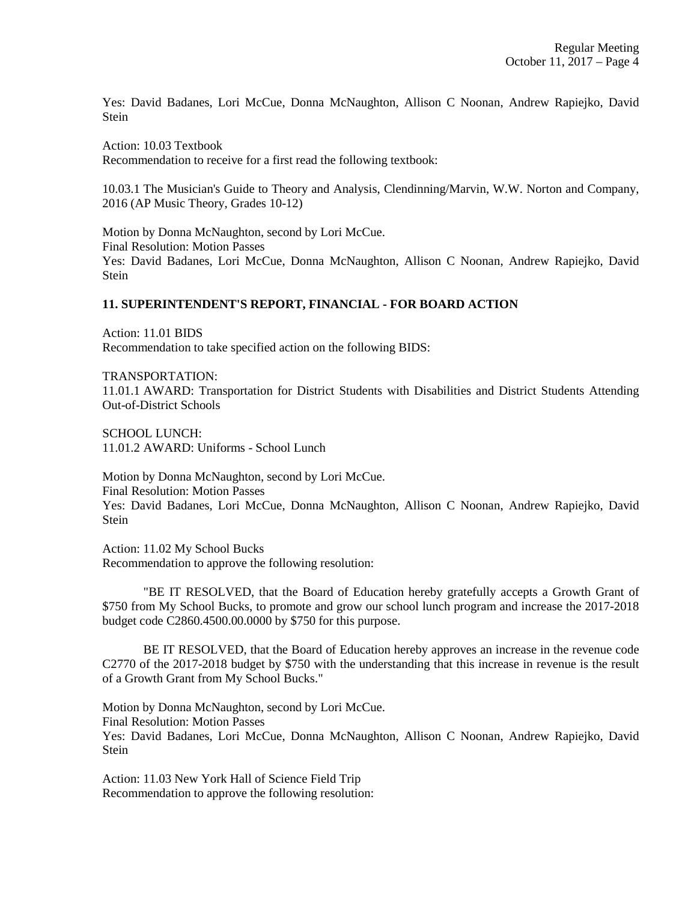Yes: David Badanes, Lori McCue, Donna McNaughton, Allison C Noonan, Andrew Rapiejko, David Stein

Action: 10.03 Textbook Recommendation to receive for a first read the following textbook:

10.03.1 The Musician's Guide to Theory and Analysis, Clendinning/Marvin, W.W. Norton and Company, 2016 (AP Music Theory, Grades 10-12)

Motion by Donna McNaughton, second by Lori McCue. Final Resolution: Motion Passes Yes: David Badanes, Lori McCue, Donna McNaughton, Allison C Noonan, Andrew Rapiejko, David Stein

### **11. SUPERINTENDENT'S REPORT, FINANCIAL - FOR BOARD ACTION**

Action: 11.01 BIDS Recommendation to take specified action on the following BIDS:

TRANSPORTATION:

11.01.1 AWARD: Transportation for District Students with Disabilities and District Students Attending Out-of-District Schools

SCHOOL LUNCH: 11.01.2 AWARD: Uniforms - School Lunch

Motion by Donna McNaughton, second by Lori McCue. Final Resolution: Motion Passes Yes: David Badanes, Lori McCue, Donna McNaughton, Allison C Noonan, Andrew Rapiejko, David Stein

Action: 11.02 My School Bucks Recommendation to approve the following resolution:

"BE IT RESOLVED, that the Board of Education hereby gratefully accepts a Growth Grant of \$750 from My School Bucks, to promote and grow our school lunch program and increase the 2017-2018 budget code C2860.4500.00.0000 by \$750 for this purpose.

BE IT RESOLVED, that the Board of Education hereby approves an increase in the revenue code C2770 of the 2017-2018 budget by \$750 with the understanding that this increase in revenue is the result of a Growth Grant from My School Bucks."

Motion by Donna McNaughton, second by Lori McCue. Final Resolution: Motion Passes Yes: David Badanes, Lori McCue, Donna McNaughton, Allison C Noonan, Andrew Rapiejko, David Stein

Action: 11.03 New York Hall of Science Field Trip Recommendation to approve the following resolution: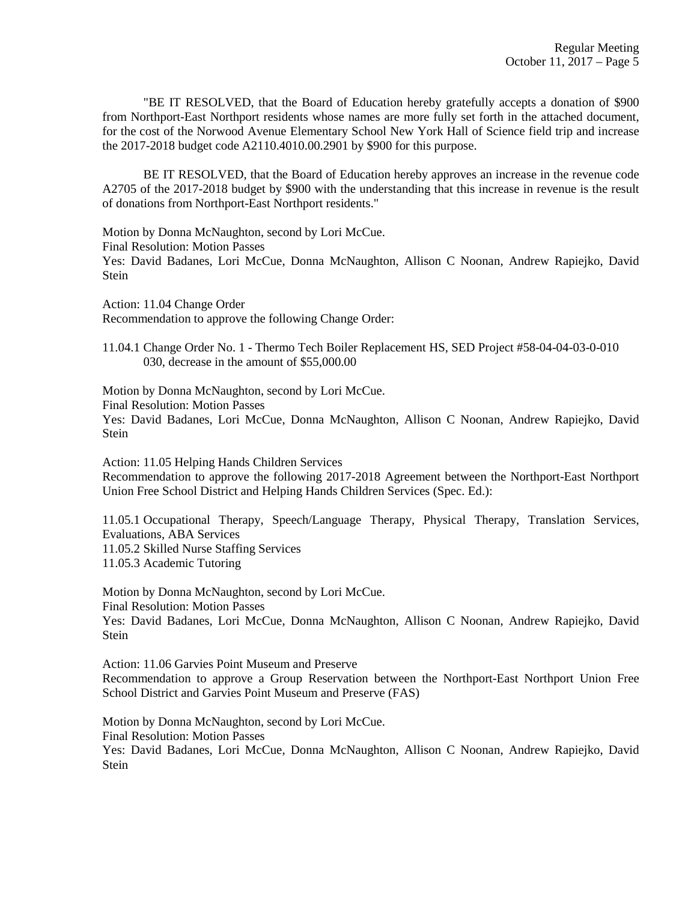"BE IT RESOLVED, that the Board of Education hereby gratefully accepts a donation of \$900 from Northport-East Northport residents whose names are more fully set forth in the attached document, for the cost of the Norwood Avenue Elementary School New York Hall of Science field trip and increase the 2017-2018 budget code A2110.4010.00.2901 by \$900 for this purpose.

BE IT RESOLVED, that the Board of Education hereby approves an increase in the revenue code A2705 of the 2017-2018 budget by \$900 with the understanding that this increase in revenue is the result of donations from Northport-East Northport residents."

Motion by Donna McNaughton, second by Lori McCue. Final Resolution: Motion Passes Yes: David Badanes, Lori McCue, Donna McNaughton, Allison C Noonan, Andrew Rapiejko, David Stein

Action: 11.04 Change Order Recommendation to approve the following Change Order:

11.04.1 Change Order No. 1 - Thermo Tech Boiler Replacement HS, SED Project #58-04-04-03-0-010 030, decrease in the amount of \$55,000.00

Motion by Donna McNaughton, second by Lori McCue. Final Resolution: Motion Passes

Yes: David Badanes, Lori McCue, Donna McNaughton, Allison C Noonan, Andrew Rapiejko, David Stein

Action: 11.05 Helping Hands Children Services

Recommendation to approve the following 2017-2018 Agreement between the Northport-East Northport Union Free School District and Helping Hands Children Services (Spec. Ed.):

11.05.1 Occupational Therapy, Speech/Language Therapy, Physical Therapy, Translation Services, Evaluations, ABA Services 11.05.2 Skilled Nurse Staffing Services 11.05.3 Academic Tutoring

Motion by Donna McNaughton, second by Lori McCue. Final Resolution: Motion Passes Yes: David Badanes, Lori McCue, Donna McNaughton, Allison C Noonan, Andrew Rapiejko, David **Stein** 

Action: 11.06 Garvies Point Museum and Preserve Recommendation to approve a Group Reservation between the Northport-East Northport Union Free School District and Garvies Point Museum and Preserve (FAS)

Motion by Donna McNaughton, second by Lori McCue. Final Resolution: Motion Passes Yes: David Badanes, Lori McCue, Donna McNaughton, Allison C Noonan, Andrew Rapiejko, David Stein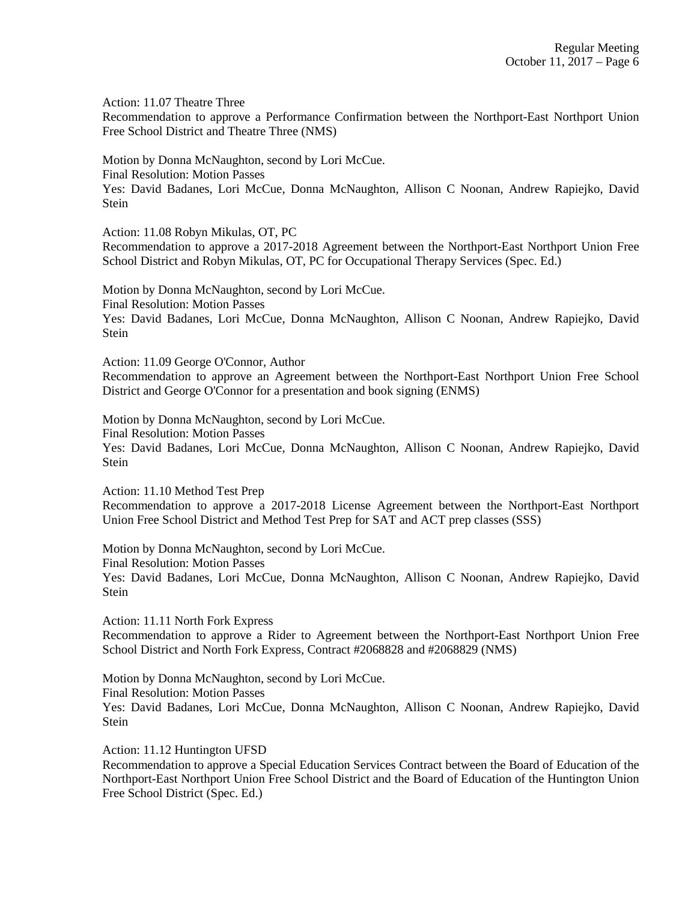Action: 11.07 Theatre Three

Recommendation to approve a Performance Confirmation between the Northport-East Northport Union Free School District and Theatre Three (NMS)

Motion by Donna McNaughton, second by Lori McCue.

Final Resolution: Motion Passes

Yes: David Badanes, Lori McCue, Donna McNaughton, Allison C Noonan, Andrew Rapiejko, David Stein

Action: 11.08 Robyn Mikulas, OT, PC

Recommendation to approve a 2017-2018 Agreement between the Northport-East Northport Union Free School District and Robyn Mikulas, OT, PC for Occupational Therapy Services (Spec. Ed.)

Motion by Donna McNaughton, second by Lori McCue. Final Resolution: Motion Passes Yes: David Badanes, Lori McCue, Donna McNaughton, Allison C Noonan, Andrew Rapiejko, David Stein

Action: 11.09 George O'Connor, Author

Recommendation to approve an Agreement between the Northport-East Northport Union Free School District and George O'Connor for a presentation and book signing (ENMS)

Motion by Donna McNaughton, second by Lori McCue.

Final Resolution: Motion Passes

Yes: David Badanes, Lori McCue, Donna McNaughton, Allison C Noonan, Andrew Rapiejko, David Stein

Action: 11.10 Method Test Prep

Recommendation to approve a 2017-2018 License Agreement between the Northport-East Northport Union Free School District and Method Test Prep for SAT and ACT prep classes (SSS)

Motion by Donna McNaughton, second by Lori McCue.

Final Resolution: Motion Passes

Yes: David Badanes, Lori McCue, Donna McNaughton, Allison C Noonan, Andrew Rapiejko, David Stein

Action: 11.11 North Fork Express

Recommendation to approve a Rider to Agreement between the Northport-East Northport Union Free School District and North Fork Express, Contract #2068828 and #2068829 (NMS)

Motion by Donna McNaughton, second by Lori McCue.

Final Resolution: Motion Passes

Yes: David Badanes, Lori McCue, Donna McNaughton, Allison C Noonan, Andrew Rapiejko, David Stein

Action: 11.12 Huntington UFSD

Recommendation to approve a Special Education Services Contract between the Board of Education of the Northport-East Northport Union Free School District and the Board of Education of the Huntington Union Free School District (Spec. Ed.)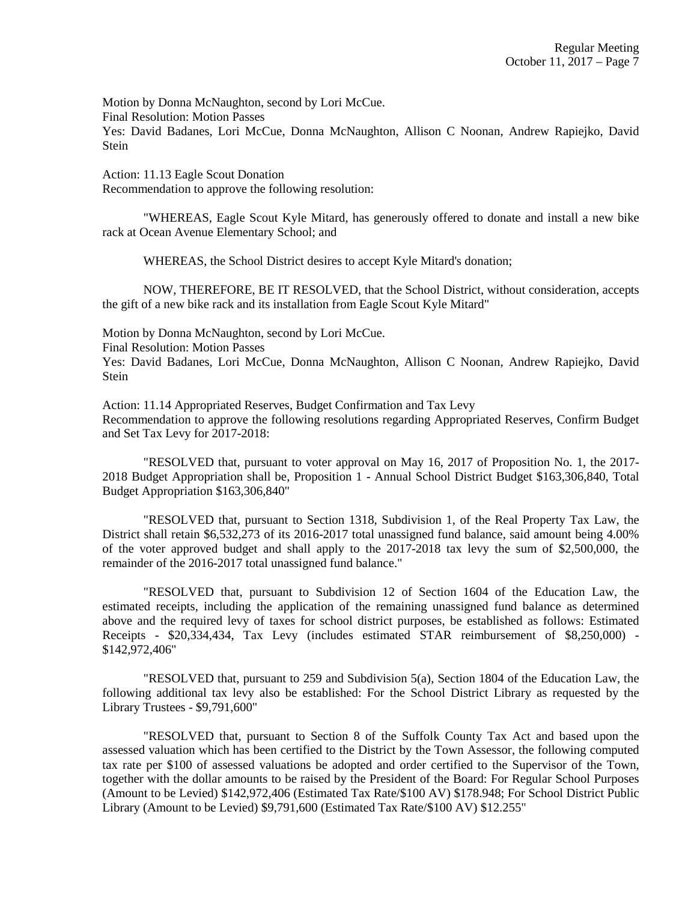Motion by Donna McNaughton, second by Lori McCue. Final Resolution: Motion Passes

Yes: David Badanes, Lori McCue, Donna McNaughton, Allison C Noonan, Andrew Rapiejko, David Stein

Action: 11.13 Eagle Scout Donation Recommendation to approve the following resolution:

"WHEREAS, Eagle Scout Kyle Mitard, has generously offered to donate and install a new bike rack at Ocean Avenue Elementary School; and

WHEREAS, the School District desires to accept Kyle Mitard's donation;

NOW, THEREFORE, BE IT RESOLVED, that the School District, without consideration, accepts the gift of a new bike rack and its installation from Eagle Scout Kyle Mitard"

Motion by Donna McNaughton, second by Lori McCue.

Final Resolution: Motion Passes

Yes: David Badanes, Lori McCue, Donna McNaughton, Allison C Noonan, Andrew Rapiejko, David Stein

Action: 11.14 Appropriated Reserves, Budget Confirmation and Tax Levy Recommendation to approve the following resolutions regarding Appropriated Reserves, Confirm Budget and Set Tax Levy for 2017-2018:

"RESOLVED that, pursuant to voter approval on May 16, 2017 of Proposition No. 1, the 2017- 2018 Budget Appropriation shall be, Proposition 1 - Annual School District Budget \$163,306,840, Total Budget Appropriation \$163,306,840"

"RESOLVED that, pursuant to Section 1318, Subdivision 1, of the Real Property Tax Law, the District shall retain \$6,532,273 of its 2016-2017 total unassigned fund balance, said amount being 4.00% of the voter approved budget and shall apply to the 2017-2018 tax levy the sum of \$2,500,000, the remainder of the 2016-2017 total unassigned fund balance."

"RESOLVED that, pursuant to Subdivision 12 of Section 1604 of the Education Law, the estimated receipts, including the application of the remaining unassigned fund balance as determined above and the required levy of taxes for school district purposes, be established as follows: Estimated Receipts - \$20,334,434, Tax Levy (includes estimated STAR reimbursement of \$8,250,000) - \$142,972,406"

"RESOLVED that, pursuant to 259 and Subdivision 5(a), Section 1804 of the Education Law, the following additional tax levy also be established: For the School District Library as requested by the Library Trustees - \$9,791,600"

"RESOLVED that, pursuant to Section 8 of the Suffolk County Tax Act and based upon the assessed valuation which has been certified to the District by the Town Assessor, the following computed tax rate per \$100 of assessed valuations be adopted and order certified to the Supervisor of the Town, together with the dollar amounts to be raised by the President of the Board: For Regular School Purposes (Amount to be Levied) \$142,972,406 (Estimated Tax Rate/\$100 AV) \$178.948; For School District Public Library (Amount to be Levied) \$9,791,600 (Estimated Tax Rate/\$100 AV) \$12.255"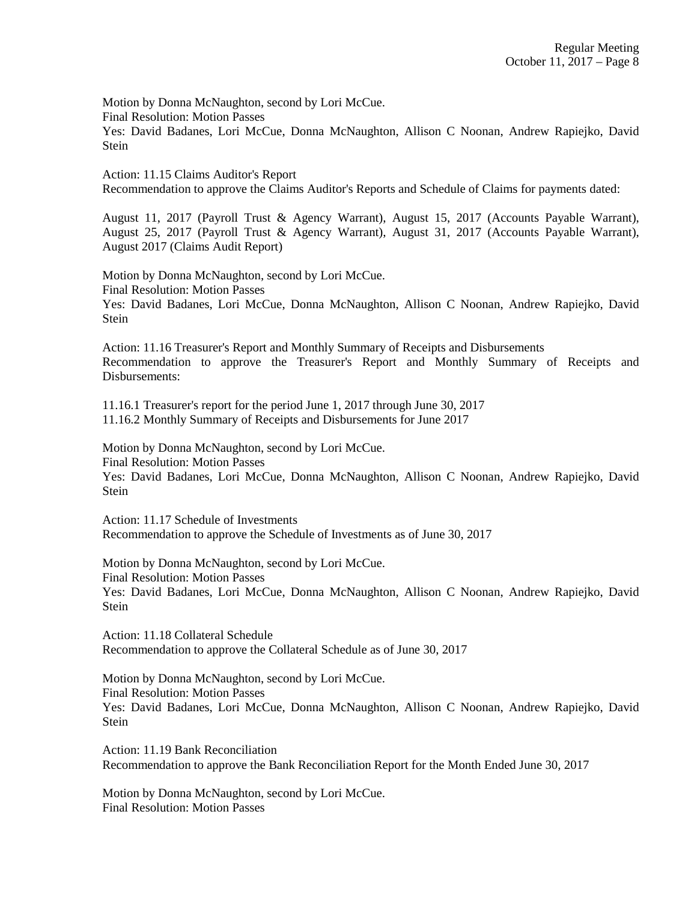Motion by Donna McNaughton, second by Lori McCue.

Final Resolution: Motion Passes

Yes: David Badanes, Lori McCue, Donna McNaughton, Allison C Noonan, Andrew Rapiejko, David Stein

Action: 11.15 Claims Auditor's Report Recommendation to approve the Claims Auditor's Reports and Schedule of Claims for payments dated:

August 11, 2017 (Payroll Trust & Agency Warrant), August 15, 2017 (Accounts Payable Warrant), August 25, 2017 (Payroll Trust & Agency Warrant), August 31, 2017 (Accounts Payable Warrant), August 2017 (Claims Audit Report)

Motion by Donna McNaughton, second by Lori McCue. Final Resolution: Motion Passes Yes: David Badanes, Lori McCue, Donna McNaughton, Allison C Noonan, Andrew Rapiejko, David Stein

Action: 11.16 Treasurer's Report and Monthly Summary of Receipts and Disbursements Recommendation to approve the Treasurer's Report and Monthly Summary of Receipts and Disbursements:

11.16.1 Treasurer's report for the period June 1, 2017 through June 30, 2017 11.16.2 Monthly Summary of Receipts and Disbursements for June 2017

Motion by Donna McNaughton, second by Lori McCue. Final Resolution: Motion Passes Yes: David Badanes, Lori McCue, Donna McNaughton, Allison C Noonan, Andrew Rapiejko, David Stein

Action: 11.17 Schedule of Investments Recommendation to approve the Schedule of Investments as of June 30, 2017

Motion by Donna McNaughton, second by Lori McCue. Final Resolution: Motion Passes Yes: David Badanes, Lori McCue, Donna McNaughton, Allison C Noonan, Andrew Rapiejko, David Stein

Action: 11.18 Collateral Schedule Recommendation to approve the Collateral Schedule as of June 30, 2017

Motion by Donna McNaughton, second by Lori McCue. Final Resolution: Motion Passes Yes: David Badanes, Lori McCue, Donna McNaughton, Allison C Noonan, Andrew Rapiejko, David Stein

Action: 11.19 Bank Reconciliation Recommendation to approve the Bank Reconciliation Report for the Month Ended June 30, 2017

Motion by Donna McNaughton, second by Lori McCue. Final Resolution: Motion Passes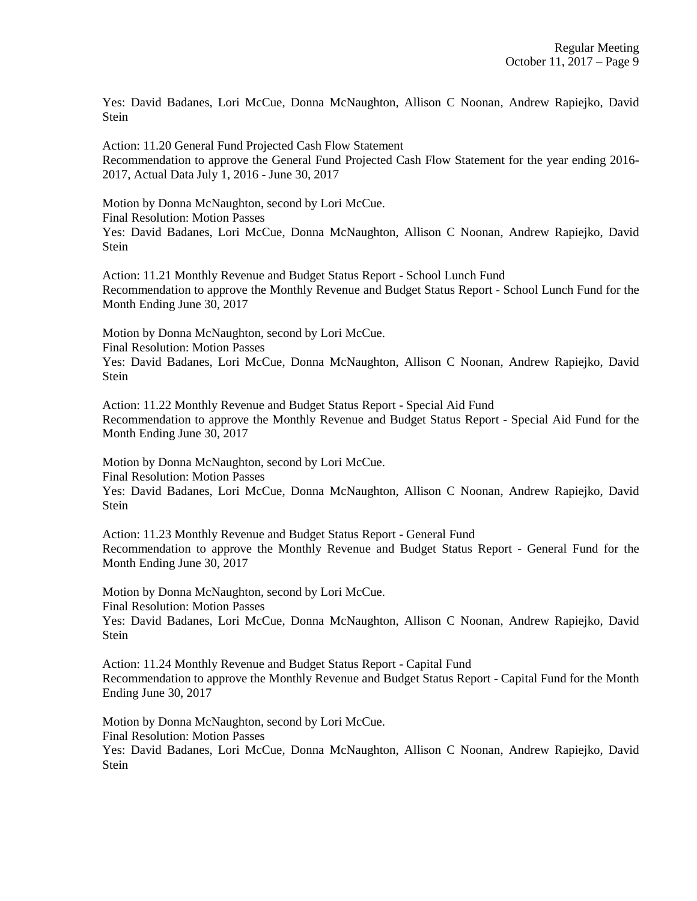Yes: David Badanes, Lori McCue, Donna McNaughton, Allison C Noonan, Andrew Rapiejko, David Stein

Action: 11.20 General Fund Projected Cash Flow Statement Recommendation to approve the General Fund Projected Cash Flow Statement for the year ending 2016- 2017, Actual Data July 1, 2016 - June 30, 2017

Motion by Donna McNaughton, second by Lori McCue. Final Resolution: Motion Passes Yes: David Badanes, Lori McCue, Donna McNaughton, Allison C Noonan, Andrew Rapiejko, David **Stein** 

Action: 11.21 Monthly Revenue and Budget Status Report - School Lunch Fund Recommendation to approve the Monthly Revenue and Budget Status Report - School Lunch Fund for the Month Ending June 30, 2017

Motion by Donna McNaughton, second by Lori McCue. Final Resolution: Motion Passes Yes: David Badanes, Lori McCue, Donna McNaughton, Allison C Noonan, Andrew Rapiejko, David

Stein

Action: 11.22 Monthly Revenue and Budget Status Report - Special Aid Fund Recommendation to approve the Monthly Revenue and Budget Status Report - Special Aid Fund for the Month Ending June 30, 2017

Motion by Donna McNaughton, second by Lori McCue.

Final Resolution: Motion Passes

Yes: David Badanes, Lori McCue, Donna McNaughton, Allison C Noonan, Andrew Rapiejko, David Stein

Action: 11.23 Monthly Revenue and Budget Status Report - General Fund Recommendation to approve the Monthly Revenue and Budget Status Report - General Fund for the Month Ending June 30, 2017

Motion by Donna McNaughton, second by Lori McCue. Final Resolution: Motion Passes Yes: David Badanes, Lori McCue, Donna McNaughton, Allison C Noonan, Andrew Rapiejko, David Stein

Action: 11.24 Monthly Revenue and Budget Status Report - Capital Fund Recommendation to approve the Monthly Revenue and Budget Status Report - Capital Fund for the Month Ending June 30, 2017

Motion by Donna McNaughton, second by Lori McCue. Final Resolution: Motion Passes Yes: David Badanes, Lori McCue, Donna McNaughton, Allison C Noonan, Andrew Rapiejko, David Stein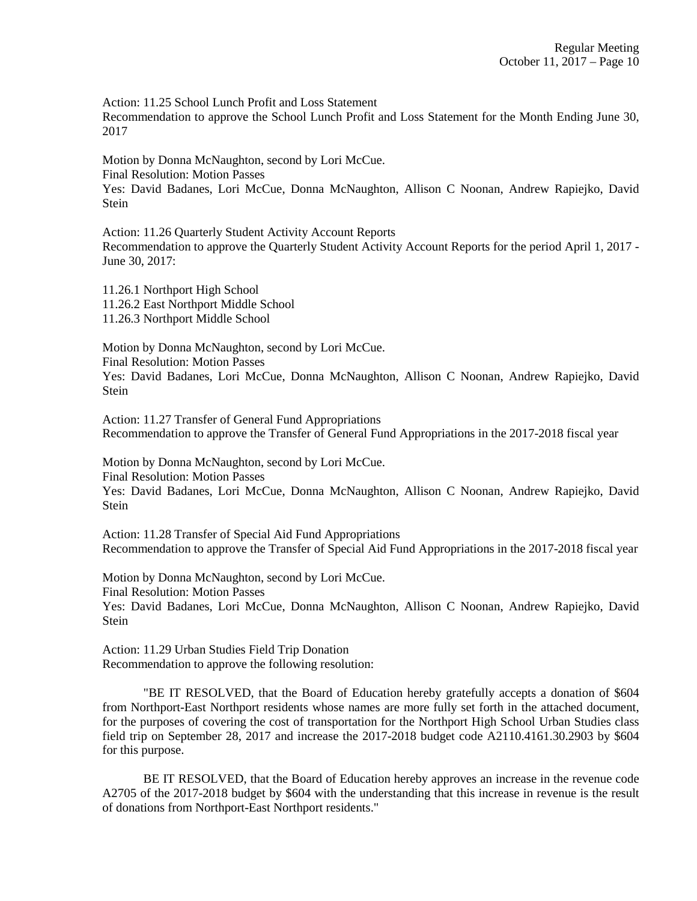Action: 11.25 School Lunch Profit and Loss Statement

Recommendation to approve the School Lunch Profit and Loss Statement for the Month Ending June 30, 2017

Motion by Donna McNaughton, second by Lori McCue. Final Resolution: Motion Passes Yes: David Badanes, Lori McCue, Donna McNaughton, Allison C Noonan, Andrew Rapiejko, David Stein

Action: 11.26 Quarterly Student Activity Account Reports Recommendation to approve the Quarterly Student Activity Account Reports for the period April 1, 2017 - June 30, 2017:

11.26.1 Northport High School 11.26.2 East Northport Middle School 11.26.3 Northport Middle School

Motion by Donna McNaughton, second by Lori McCue. Final Resolution: Motion Passes Yes: David Badanes, Lori McCue, Donna McNaughton, Allison C Noonan, Andrew Rapiejko, David Stein

Action: 11.27 Transfer of General Fund Appropriations Recommendation to approve the Transfer of General Fund Appropriations in the 2017-2018 fiscal year

Motion by Donna McNaughton, second by Lori McCue.

Final Resolution: Motion Passes

Yes: David Badanes, Lori McCue, Donna McNaughton, Allison C Noonan, Andrew Rapiejko, David **Stein** 

Action: 11.28 Transfer of Special Aid Fund Appropriations Recommendation to approve the Transfer of Special Aid Fund Appropriations in the 2017-2018 fiscal year

Motion by Donna McNaughton, second by Lori McCue. Final Resolution: Motion Passes Yes: David Badanes, Lori McCue, Donna McNaughton, Allison C Noonan, Andrew Rapiejko, David Stein

Action: 11.29 Urban Studies Field Trip Donation Recommendation to approve the following resolution:

"BE IT RESOLVED, that the Board of Education hereby gratefully accepts a donation of \$604 from Northport-East Northport residents whose names are more fully set forth in the attached document, for the purposes of covering the cost of transportation for the Northport High School Urban Studies class field trip on September 28, 2017 and increase the 2017-2018 budget code A2110.4161.30.2903 by \$604 for this purpose.

BE IT RESOLVED, that the Board of Education hereby approves an increase in the revenue code A2705 of the 2017-2018 budget by \$604 with the understanding that this increase in revenue is the result of donations from Northport-East Northport residents."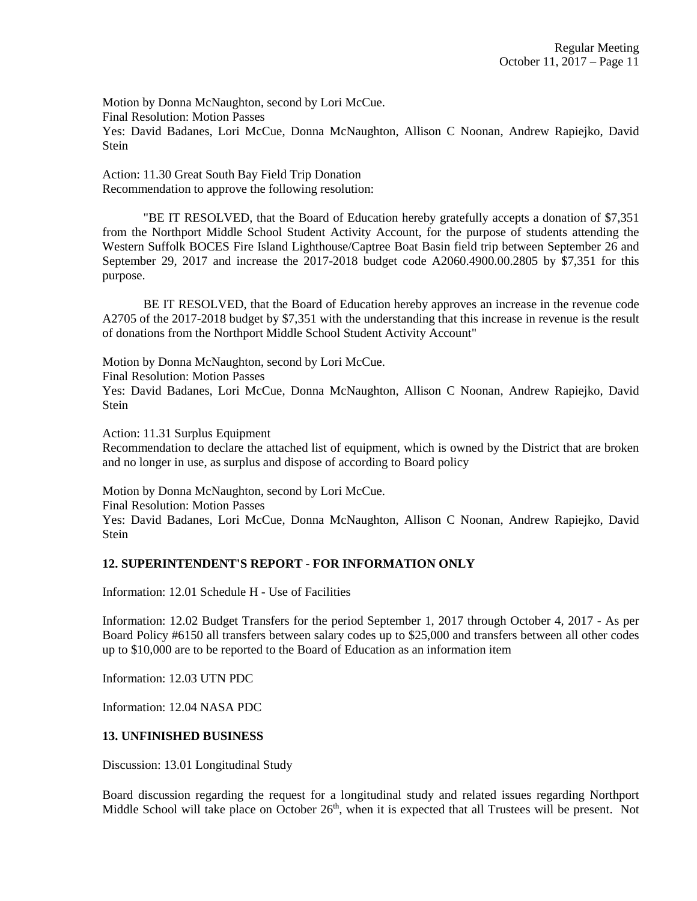Motion by Donna McNaughton, second by Lori McCue. Final Resolution: Motion Passes Yes: David Badanes, Lori McCue, Donna McNaughton, Allison C Noonan, Andrew Rapiejko, David **Stein** 

Action: 11.30 Great South Bay Field Trip Donation Recommendation to approve the following resolution:

"BE IT RESOLVED, that the Board of Education hereby gratefully accepts a donation of \$7,351 from the Northport Middle School Student Activity Account, for the purpose of students attending the Western Suffolk BOCES Fire Island Lighthouse/Captree Boat Basin field trip between September 26 and September 29, 2017 and increase the 2017-2018 budget code A2060.4900.00.2805 by \$7,351 for this purpose.

BE IT RESOLVED, that the Board of Education hereby approves an increase in the revenue code A2705 of the 2017-2018 budget by \$7,351 with the understanding that this increase in revenue is the result of donations from the Northport Middle School Student Activity Account"

Motion by Donna McNaughton, second by Lori McCue.

Final Resolution: Motion Passes

Yes: David Badanes, Lori McCue, Donna McNaughton, Allison C Noonan, Andrew Rapiejko, David Stein

Action: 11.31 Surplus Equipment

Recommendation to declare the attached list of equipment, which is owned by the District that are broken and no longer in use, as surplus and dispose of according to Board policy

Motion by Donna McNaughton, second by Lori McCue.

Final Resolution: Motion Passes

Yes: David Badanes, Lori McCue, Donna McNaughton, Allison C Noonan, Andrew Rapiejko, David **Stein** 

### **12. SUPERINTENDENT'S REPORT - FOR INFORMATION ONLY**

Information: 12.01 Schedule H - Use of Facilities

Information: 12.02 Budget Transfers for the period September 1, 2017 through October 4, 2017 - As per Board Policy #6150 all transfers between salary codes up to \$25,000 and transfers between all other codes up to \$10,000 are to be reported to the Board of Education as an information item

Information: 12.03 UTN PDC

Information: 12.04 NASA PDC

### **13. UNFINISHED BUSINESS**

Discussion: 13.01 Longitudinal Study

Board discussion regarding the request for a longitudinal study and related issues regarding Northport Middle School will take place on October  $26<sup>th</sup>$ , when it is expected that all Trustees will be present. Not